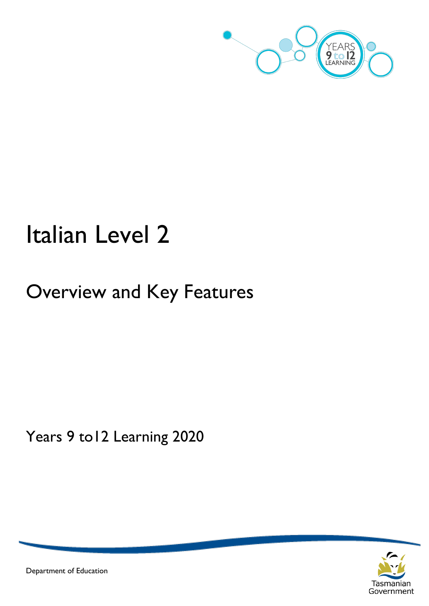

# Italian Level 2

# Overview and Key Features

Years 9 to12 Learning 2020



Department of Education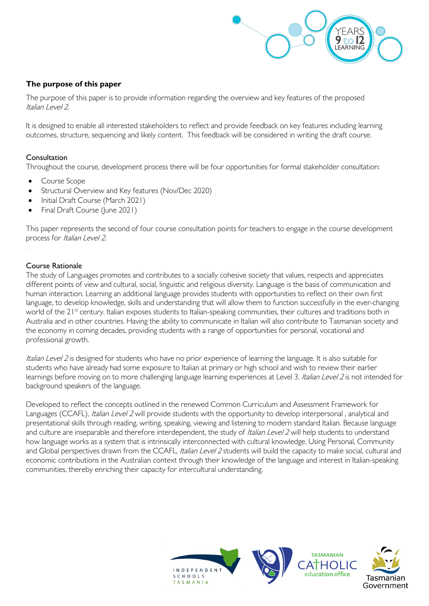

### **The purpose of this paper**

The purpose of this paper is to provide information regarding the overview and key features of the proposed Italian Level 2.

It is designed to enable all interested stakeholders to reflect and provide feedback on key features including learning outcomes, structure, sequencing and likely content. This feedback will be considered in writing the draft course.

#### Consultation

Throughout the course, development process there will be four opportunities for formal stakeholder consultation:

- Course Scope
- Structural Overview and Key features (Nov/Dec 2020)
- Initial Draft Course (March 2021)
- Final Draft Course (June 2021)

This paper represents the second of four course consultation points for teachers to engage in the course development process for Italian Level 2.

#### Course Rationale

The study of Languages promotes and contributes to a socially cohesive society that values, respects and appreciates different points of view and cultural, social, linguistic and religious diversity. Language is the basis of communication and human interaction. Learning an additional language provides students with opportunities to reflect on their own first language, to develop knowledge, skills and understanding that will allow them to function successfully in the ever-changing world of the 21<sup>st</sup> century. Italian exposes students to Italian-speaking communities, their cultures and traditions both in Australia and in other countries. Having the ability to communicate in Italian will also contribute to Tasmanian society and the economy in coming decades, providing students with a range of opportunities for personal, vocational and professional growth.

Italian Level 2 is designed for students who have no prior experience of learning the language. It is also suitable for students who have already had some exposure to Italian at primary or high school and wish to review their earlier learnings before moving on to more challenging language learning experiences at Level 3. Italian Level 2 is not intended for background speakers of the language.

Developed to reflect the concepts outlined in the renewed Common Curriculum and Assessment Framework for Languages (CCAFL), *Italian Level 2* will provide students with the opportunity to develop interpersonal, analytical and presentational skills through reading, writing, speaking, viewing and listening to modern standard Italian. Because language and culture are inseparable and therefore interdependent, the study of Italian Level 2 will help students to understand how language works as a system that is intrinsically interconnected with cultural knowledge. Using Personal, Community and Global perspectives drawn from the CCAFL, *Italian Level 2* students will build the capacity to make social, cultural and economic contributions in the Australian context through their knowledge of the language and interest in Italian-speaking communities, thereby enriching their capacity for intercultural understanding.

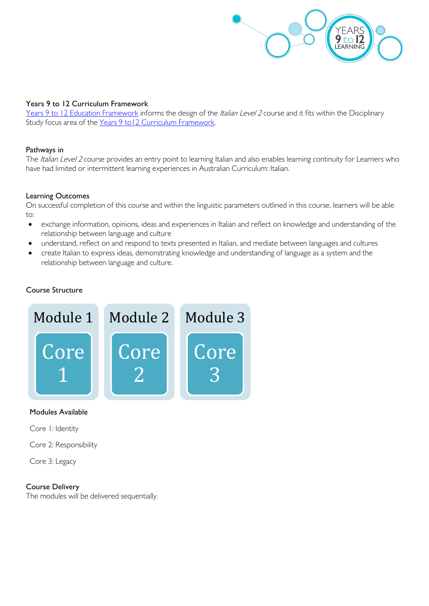

#### Years 9 to 12 Curriculum Framework

[Years 9 to 12 Education Framework](https://publicdocumentcentre.education.tas.gov.au/library/Shared%20Documents/Years-9-to-12-Education-Framework.pdf) informs the design of the Italian Level 2 course and it fits within the Disciplinary Study focus area of the Years 9 to 12 Curriculum Framework.

#### Pathways in

The Italian Level 2 course provides an entry point to learning Italian and also enables learning continuity for Learners who have had limited or intermittent learning experiences in Australian Curriculum: Italian.

#### Learning Outcomes

On successful completion of this course and within the linguistic parameters outlined in this course, learners will be able to:

- exchange information, opinions, ideas and experiences in Italian and reflect on knowledge and understanding of the relationship between language and culture
- understand, reflect on and respond to texts presented in Italian, and mediate between languages and cultures
- create Italian to express ideas, demonstrating knowledge and understanding of language as a system and the relationship between language and culture.

#### Course Structure



#### Modules Available

Core 1: Identity

Core 2: Responsibility

Core 3: Legacy

#### Course Delivery

The modules will be delivered sequentially.